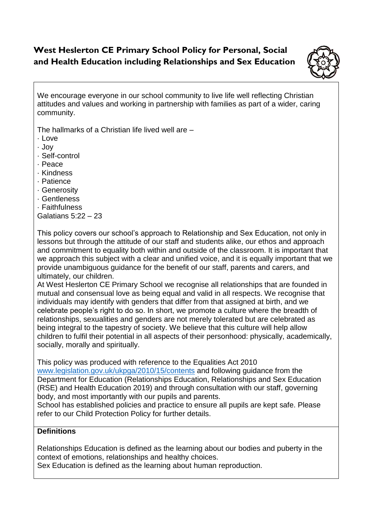## **West Heslerton CE Primary School Policy for Personal, Social and Health Education including Relationships and Sex Education**



We encourage everyone in our school community to live life well reflecting Christian attitudes and values and working in partnership with families as part of a wider, caring community.

The hallmarks of a Christian life lived well are –

- · Love
- · Joy
- · Self-control
- · Peace
- · Kindness
- · Patience
- · Generosity
- · Gentleness
- · Faithfulness

Galatians 5:22 – 23

This policy covers our school's approach to Relationship and Sex Education, not only in lessons but through the attitude of our staff and students alike, our ethos and approach and commitment to equality both within and outside of the classroom. It is important that we approach this subject with a clear and unified voice, and it is equally important that we provide unambiguous guidance for the benefit of our staff, parents and carers, and ultimately, our children.

At West Heslerton CE Primary School we recognise all relationships that are founded in mutual and consensual love as being equal and valid in all respects. We recognise that individuals may identify with genders that differ from that assigned at birth, and we celebrate people's right to do so. In short, we promote a culture where the breadth of relationships, sexualities and genders are not merely tolerated but are celebrated as being integral to the tapestry of society. We believe that this culture will help allow children to fulfil their potential in all aspects of their personhood: physically, academically, socially, morally and spiritually.

This policy was produced with reference to the Equalities Act 2010

[www.legislation.gov.uk/ukpga/2010/15/contents](http://www.legislation.gov.uk/ukpga/2010/15/contents) and following guidance from the Department for Education (Relationships Education, Relationships and Sex Education (RSE) and Health Education 2019) and through consultation with our staff, governing body, and most importantly with our pupils and parents.

School has established policies and practice to ensure all pupils are kept safe. Please refer to our Child Protection Policy for further details.

## **Definitions**

Relationships Education is defined as the learning about our bodies and puberty in the context of emotions, relationships and healthy choices.

Sex Education is defined as the learning about human reproduction.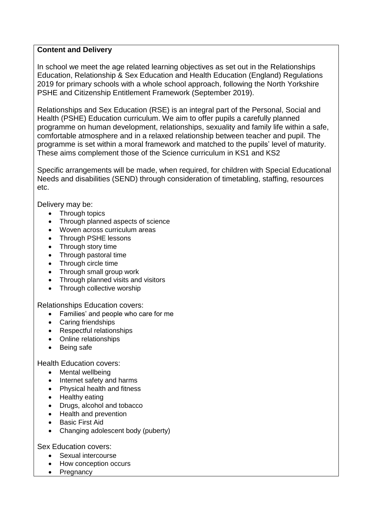## **Content and Delivery**

In school we meet the age related learning objectives as set out in the Relationships Education, Relationship & Sex Education and Health Education (England) Regulations 2019 for primary schools with a whole school approach, following the North Yorkshire PSHE and Citizenship Entitlement Framework (September 2019).

Relationships and Sex Education (RSE) is an integral part of the Personal, Social and Health (PSHE) Education curriculum. We aim to offer pupils a carefully planned programme on human development, relationships, sexuality and family life within a safe, comfortable atmosphere and in a relaxed relationship between teacher and pupil. The programme is set within a moral framework and matched to the pupils' level of maturity. These aims complement those of the Science curriculum in KS1 and KS2

Specific arrangements will be made, when required, for children with Special Educational Needs and disabilities (SEND) through consideration of timetabling, staffing, resources etc.

Delivery may be:

- Through topics
- Through planned aspects of science
- Woven across curriculum areas
- Through PSHE lessons
- Through story time
- Through pastoral time
- Through circle time
- Through small group work
- Through planned visits and visitors
- Through collective worship

#### Relationships Education covers:

- Families' and people who care for me
- Caring friendships
- Respectful relationships
- Online relationships
- Being safe

Health Education covers:

- Mental wellbeing
- Internet safety and harms
- Physical health and fitness
- Healthy eating
- Drugs, alcohol and tobacco
- Health and prevention
- Basic First Aid
- Changing adolescent body (puberty)

Sex Education covers:

- Sexual intercourse
- How conception occurs
- Pregnancy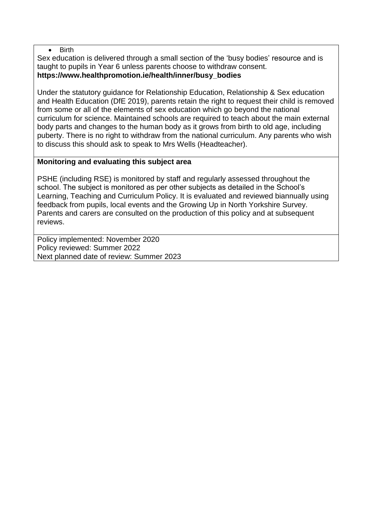#### • Birth

Sex education is delivered through a small section of the 'busy bodies' resource and is taught to pupils in Year 6 unless parents choose to withdraw consent. **https://www.healthpromotion.ie/health/inner/busy\_bodies** 

Under the statutory guidance for Relationship Education, Relationship & Sex education and Health Education (DfE 2019), parents retain the right to request their child is removed from some or all of the elements of sex education which go beyond the national curriculum for science. Maintained schools are required to teach about the main external body parts and changes to the human body as it grows from birth to old age, including puberty. There is no right to withdraw from the national curriculum. Any parents who wish to discuss this should ask to speak to Mrs Wells (Headteacher).

### **Monitoring and evaluating this subject area**

PSHE (including RSE) is monitored by staff and regularly assessed throughout the school. The subject is monitored as per other subjects as detailed in the School's Learning, Teaching and Curriculum Policy. It is evaluated and reviewed biannually using feedback from pupils, local events and the Growing Up in North Yorkshire Survey. Parents and carers are consulted on the production of this policy and at subsequent reviews.

Policy implemented: November 2020 Policy reviewed: Summer 2022 Next planned date of review: Summer 2023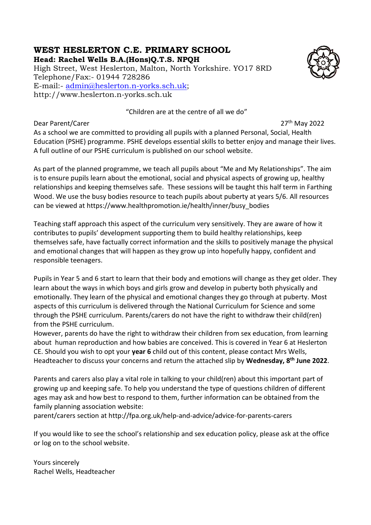# **WEST HESLERTON C.E. PRIMARY SCHOOL**

**Head: Rachel Wells B.A.(Hons)Q.T.S. NPQH**

High Street, West Heslerton, Malton, North Yorkshire. YO17 8RD Telephone/Fax:- 01944 728286 E-mail:- [admin@heslerton.n-yorks.sch.uk;](mailto:admin@heslerton.n-yorks.sch.uk) http://www.heslerton.n-yorks.sch.uk

"Children are at the centre of all we do"

#### Dear Parent/Carer 27th May 2022

As a school we are committed to providing all pupils with a planned Personal, Social, Health Education (PSHE) programme. PSHE develops essential skills to better enjoy and manage their lives. A full outline of our PSHE curriculum is published on our school website.

As part of the planned programme, we teach all pupils about "Me and My Relationships". The aim is to ensure pupils learn about the emotional, social and physical aspects of growing up, healthy relationships and keeping themselves safe. These sessions will be taught this half term in Farthing Wood. We use the busy bodies resource to teach pupils about puberty at years 5/6. All resources can be viewed at https://www.healthpromotion.ie/health/inner/busy\_bodies

Teaching staff approach this aspect of the curriculum very sensitively. They are aware of how it contributes to pupils' development supporting them to build healthy relationships, keep themselves safe, have factually correct information and the skills to positively manage the physical and emotional changes that will happen as they grow up into hopefully happy, confident and responsible teenagers.

Pupils in Year 5 and 6 start to learn that their body and emotions will change as they get older. They learn about the ways in which boys and girls grow and develop in puberty both physically and emotionally. They learn of the physical and emotional changes they go through at puberty. Most aspects of this curriculum is delivered through the National Curriculum for Science and some through the PSHE curriculum. Parents/carers do not have the right to withdraw their child(ren) from the PSHE curriculum.

However, parents do have the right to withdraw their children from sex education, from learning about human reproduction and how babies are conceived. This is covered in Year 6 at Heslerton CE. Should you wish to opt your **year 6** child out of this content, please contact Mrs Wells, Headteacher to discuss your concerns and return the attached slip by **Wednesday, 8th June 2022**.

Parents and carers also play a vital role in talking to your child(ren) about this important part of growing up and keeping safe. To help you understand the type of questions children of different ages may ask and how best to respond to them, further information can be obtained from the family planning association website:

parent/carers section at http://fpa.org.uk/help-and-advice/advice-for-parents-carers

If you would like to see the school's relationship and sex education policy, please ask at the office or log on to the school website.

Yours sincerely Rachel Wells, Headteacher